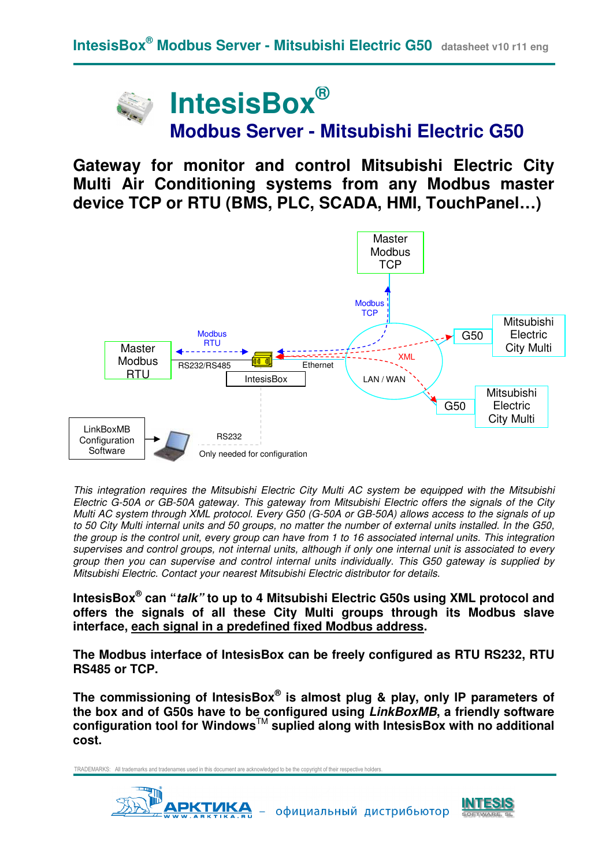

**Gateway for monitor and control Mitsubishi Electric City Multi Air Conditioning systems from any Modbus master device TCP or RTU (BMS, PLC, SCADA, HMI, TouchPanel…)**



This integration requires the Mitsubishi Electric City Multi AC system be equipped with the Mitsubishi Electric G-50A or GB-50A gateway. This gateway from Mitsubishi Electric offers the signals of the City Multi AC system through XML protocol. Every G50 (G-50A or GB-50A) allows access to the signals of up to 50 City Multi internal units and 50 groups, no matter the number of external units installed. In the G50, the group is the control unit, every group can have from 1 to 16 associated internal units. This integration supervises and control groups, not internal units, although if only one internal unit is associated to every group then you can supervise and control internal units individually. This G50 gateway is supplied by Mitsubishi Electric. Contact your nearest Mitsubishi Electric distributor for details.

**IntesisBox® can "talk" to up to 4 Mitsubishi Electric G50s using XML protocol and offers the signals of all these City Multi groups through its Modbus slave interface, each signal in a predefined fixed Modbus address.** 

**The Modbus interface of IntesisBox can be freely configured as RTU RS232, RTU RS485 or TCP.** 

**The commissioning of IntesisBox® is almost plug & play, only IP parameters of the box and of G50s have to be configured using LinkBoxMB, a friendly software configuration tool for Windows**TM **suplied along with IntesisBox with no additional cost.** 



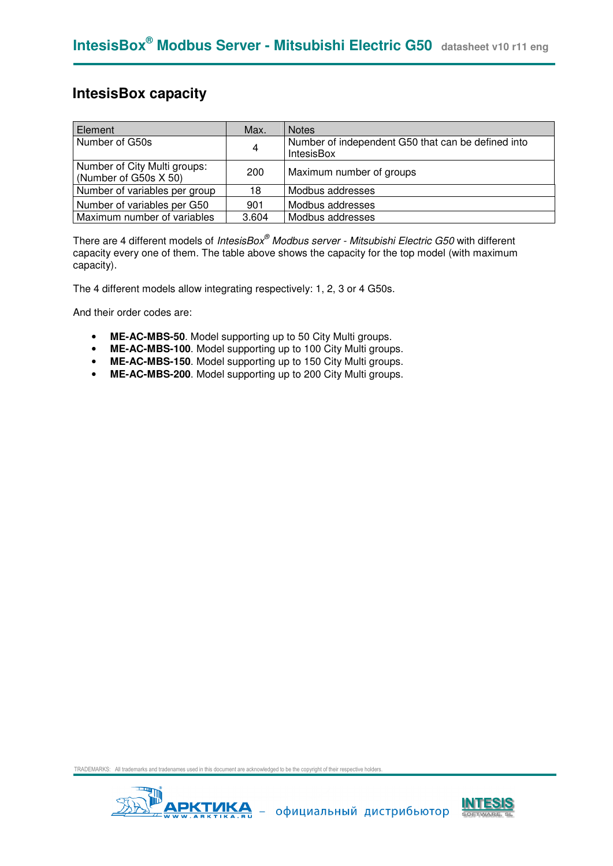## **IntesisBox capacity**

| Element                                               | Max.  | <b>Notes</b>                                                            |
|-------------------------------------------------------|-------|-------------------------------------------------------------------------|
| Number of G50s                                        | 4     | Number of independent G50 that can be defined into<br><b>IntesisBox</b> |
| Number of City Multi groups:<br>(Number of G50s X 50) | 200   | Maximum number of groups                                                |
| Number of variables per group                         | 18    | Modbus addresses                                                        |
| Number of variables per G50                           | 901   | Modbus addresses                                                        |
| Maximum number of variables                           | 3.604 | Modbus addresses                                                        |

There are 4 different models of *IntesisBox® Modbus server - Mitsubishi Electric G50* with different capacity every one of them. The table above shows the capacity for the top model (with maximum capacity).

The 4 different models allow integrating respectively: 1, 2, 3 or 4 G50s.

And their order codes are:

- **ME-AC-MBS-50**. Model supporting up to 50 City Multi groups.
- **ME-AC-MBS-100**. Model supporting up to 100 City Multi groups.
- **ME-AC-MBS-150**. Model supporting up to 150 City Multi groups.
- **ME-AC-MBS-200**. Model supporting up to 200 City Multi groups.



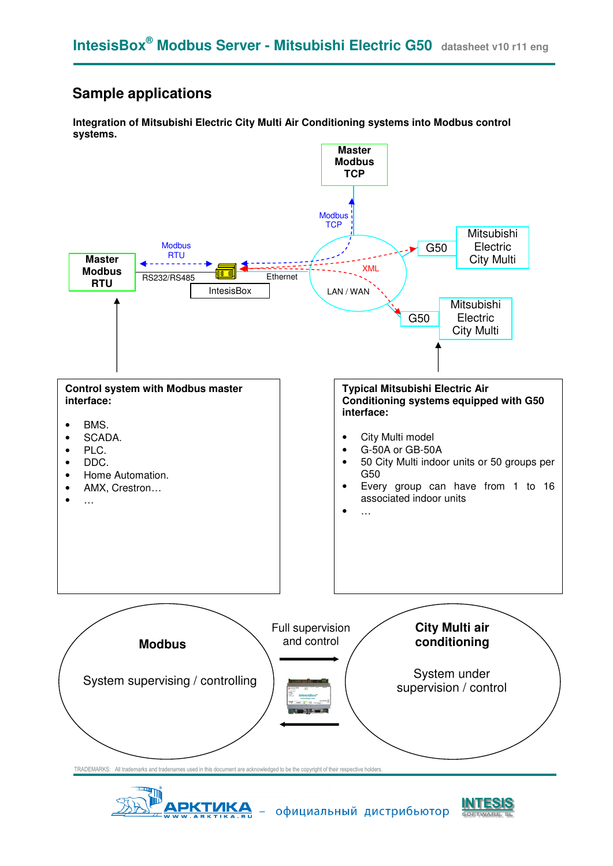## **Sample applications**

**Integration of Mitsubishi Electric City Multi Air Conditioning systems into Modbus control systems.**





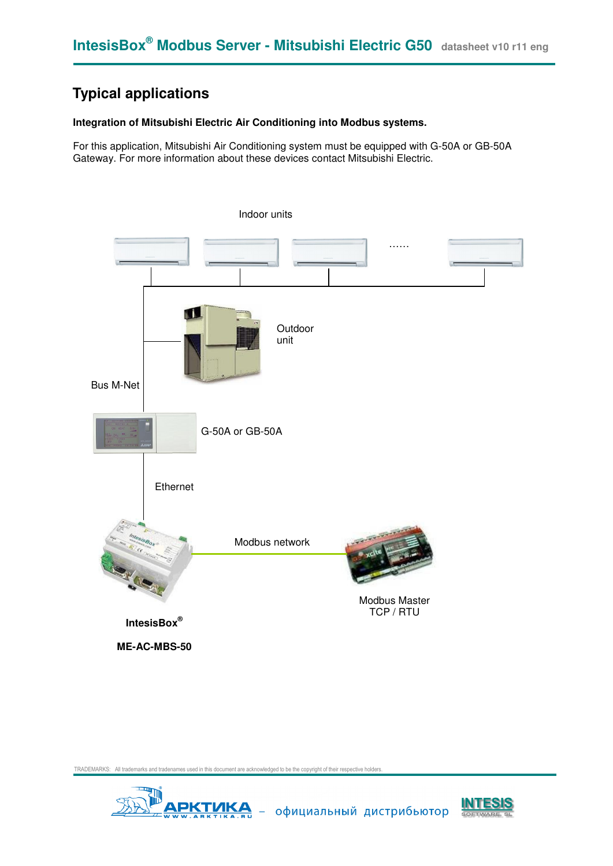# **Typical applications**

#### **Integration of Mitsubishi Electric Air Conditioning into Modbus systems.**

For this application, Mitsubishi Air Conditioning system must be equipped with G-50A or GB-50A Gateway. For more information about these devices contact Mitsubishi Electric.





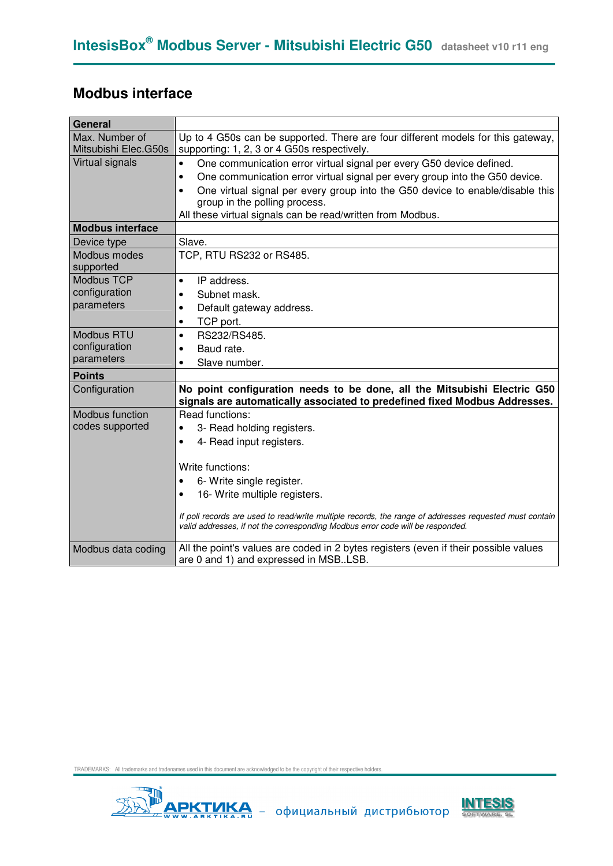# **Modbus interface**

| General                                |                                                                                                                                                                                                                                                                                                                                                                            |
|----------------------------------------|----------------------------------------------------------------------------------------------------------------------------------------------------------------------------------------------------------------------------------------------------------------------------------------------------------------------------------------------------------------------------|
| Max. Number of<br>Mitsubishi Elec.G50s | Up to 4 G50s can be supported. There are four different models for this gateway,<br>supporting: 1, 2, 3 or 4 G50s respectively.                                                                                                                                                                                                                                            |
| Virtual signals                        | One communication error virtual signal per every G50 device defined.<br>$\bullet$<br>One communication error virtual signal per every group into the G50 device.<br>$\bullet$<br>One virtual signal per every group into the G50 device to enable/disable this<br>$\bullet$<br>group in the polling process.<br>All these virtual signals can be read/written from Modbus. |
| <b>Modbus interface</b>                |                                                                                                                                                                                                                                                                                                                                                                            |
| Device type                            | Slave.                                                                                                                                                                                                                                                                                                                                                                     |
| Modbus modes<br>supported              | TCP, RTU RS232 or RS485.                                                                                                                                                                                                                                                                                                                                                   |
| <b>Modbus TCP</b>                      | IP address.<br>$\bullet$                                                                                                                                                                                                                                                                                                                                                   |
| configuration                          | Subnet mask.<br>$\bullet$                                                                                                                                                                                                                                                                                                                                                  |
| parameters                             | Default gateway address.<br>$\bullet$                                                                                                                                                                                                                                                                                                                                      |
|                                        | TCP port.<br>$\bullet$                                                                                                                                                                                                                                                                                                                                                     |
| <b>Modbus RTU</b>                      | RS232/RS485.<br>$\bullet$                                                                                                                                                                                                                                                                                                                                                  |
| configuration                          | Baud rate.<br>$\bullet$                                                                                                                                                                                                                                                                                                                                                    |
| parameters                             | Slave number.<br>$\bullet$                                                                                                                                                                                                                                                                                                                                                 |
| <b>Points</b>                          |                                                                                                                                                                                                                                                                                                                                                                            |
| Configuration                          | No point configuration needs to be done, all the Mitsubishi Electric G50<br>signals are automatically associated to predefined fixed Modbus Addresses.                                                                                                                                                                                                                     |
| Modbus function                        | Read functions:                                                                                                                                                                                                                                                                                                                                                            |
| codes supported                        | 3- Read holding registers.                                                                                                                                                                                                                                                                                                                                                 |
|                                        | 4- Read input registers.                                                                                                                                                                                                                                                                                                                                                   |
|                                        | Write functions:                                                                                                                                                                                                                                                                                                                                                           |
|                                        | 6- Write single register.<br>$\bullet$                                                                                                                                                                                                                                                                                                                                     |
|                                        | 16- Write multiple registers.                                                                                                                                                                                                                                                                                                                                              |
|                                        | If poll records are used to read/write multiple records, the range of addresses requested must contain<br>valid addresses, if not the corresponding Modbus error code will be responded.                                                                                                                                                                                   |
| Modbus data coding                     | All the point's values are coded in 2 bytes registers (even if their possible values<br>are 0 and 1) and expressed in MSBLSB.                                                                                                                                                                                                                                              |



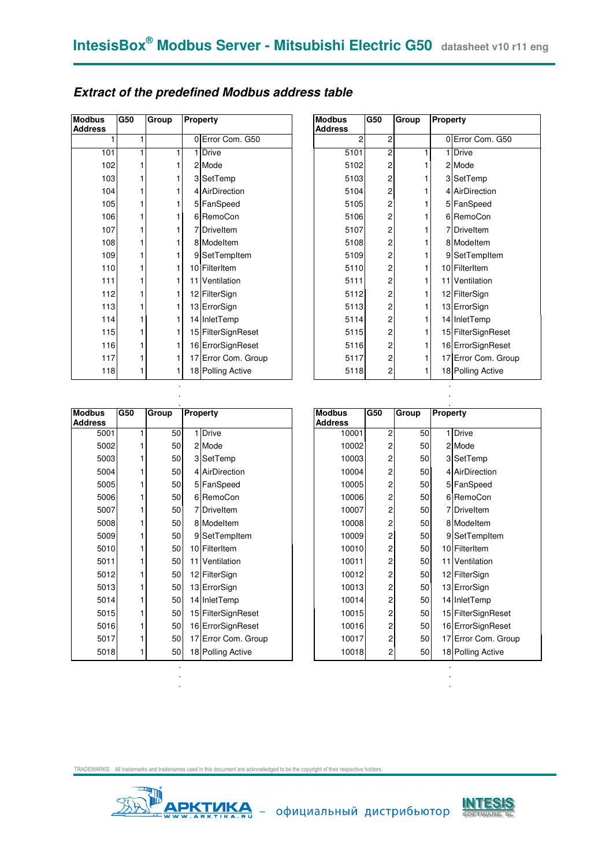| <b>Modbus</b><br><b>Address</b> | G50 | Group |   | <b>Property</b>     |  | <b>Modbus</b><br><b>Address</b> | G50 | Group | Property |                   |
|---------------------------------|-----|-------|---|---------------------|--|---------------------------------|-----|-------|----------|-------------------|
|                                 |     |       |   | 0 Error Com. G50    |  | 2                               | 2   |       |          | 0 Error Com. G!   |
| 101                             |     |       | 1 | <b>Drive</b>        |  | 5101                            | 2   |       |          | 1 Drive           |
| 102                             |     |       |   | 2 Mode              |  | 5102                            | 2   |       |          | 2 Mode            |
| 103                             |     |       |   | 3 SetTemp           |  | 5103                            | 2   |       |          | 3 SetTemp         |
| 104                             |     |       |   | 4 AirDirection      |  | 5104                            | 2   |       |          | 4 AirDirection    |
| 105                             |     |       |   | 5 FanSpeed          |  | 5105                            | 2   |       |          | 5 FanSpeed        |
| 106                             |     |       |   | 6 RemoCon           |  | 5106                            | 2   |       |          | 6 RemoCon         |
| 107                             |     |       |   | 7 Driveltem         |  | 5107                            | 2   |       |          | 7Driveltem        |
| 108                             |     |       |   | 8 Modeltem          |  | 5108                            | 2   |       |          | 8 Modeltem        |
| 109                             |     |       |   | 9 SetTempItem       |  | 5109                            | 2   |       |          | 9 SetTempItem     |
| 110                             |     |       |   | 10 FilterItem       |  | 5110                            | 2   |       |          | 10 FilterItem     |
| 111                             |     |       |   | 11 Ventilation      |  | 5111                            | 2   |       |          | 11 Ventilation    |
| 112                             |     | 1     |   | 12 FilterSign       |  | 5112                            | 2   |       |          | 12 FilterSign     |
| 113                             |     |       |   | 13 ErrorSign        |  | 5113                            | 2   |       |          | 13 ErrorSign      |
| 114                             |     | 1     |   | 14 InletTemp        |  | 5114                            | 2   |       |          | 14 InletTemp      |
| 115                             |     | 1     |   | 15 FilterSignReset  |  | 5115                            | 2   |       |          | 15 FilterSignRese |
| 116                             |     |       |   | 16 ErrorSignReset   |  | 5116                            | 2   |       |          | 16 ErrorSignRese  |
| 117                             |     |       |   | 17 Error Com. Group |  | 5117                            | 2   |       |          | 17 Error Com. Gr  |
| 118                             |     |       |   | 18 Polling Active   |  | 5118                            | 2   |       |          | 18 Polling Active |

| <b>Extract of the predefined Modbus address table</b> |  |  |  |  |
|-------------------------------------------------------|--|--|--|--|
|-------------------------------------------------------|--|--|--|--|

| ŝ.<br>s | G50 | Group | Property            | <b>Modbus</b><br><b>Address</b> | <b>G50</b>     | Group | <b>Property</b> |                     |
|---------|-----|-------|---------------------|---------------------------------|----------------|-------|-----------------|---------------------|
|         |     |       | 0 Error Com. G50    | $\overline{2}$                  | 2              |       |                 | 0 Error Com. G50    |
| 101     |     |       | 1 Drive             | 5101                            | 2              |       |                 | 1 Drive             |
| 102     |     |       | 2 Mode              | 5102                            | 2              |       |                 | 2 Mode              |
| 103     |     |       | 3 SetTemp           | 5103                            | 2              |       |                 | 3 SetTemp           |
| 104     |     |       | 4 AirDirection      | 5104                            | 2              |       |                 | 4 AirDirection      |
| 105     |     |       | 5 FanSpeed          | 5105                            | 2              |       |                 | 5 FanSpeed          |
| 106     |     |       | 6 RemoCon           | 5106                            | 2              |       |                 | 6 RemoCon           |
| 107     |     |       | <b>7</b> Driveltem  | 5107                            | $\overline{c}$ |       |                 | 7Driveltem          |
| 108     |     |       | 8 Modeltem          | 5108                            | $\overline{c}$ |       |                 | 8 Modeltem          |
| 109     |     |       | 9 SetTempItem       | 5109                            | 2              |       |                 | 9 SetTempItem       |
| 110     |     |       | 10 FilterItem       | 5110                            | 2              |       |                 | 10 FilterItem       |
| 111     |     |       | 11 Ventilation      | 5111                            | 2              |       |                 | 11 Ventilation      |
| 112     |     |       | 12 FilterSign       | 5112                            | 2              |       |                 | 12 FilterSign       |
| 113     |     |       | 13 ErrorSign        | 5113                            | $\overline{c}$ |       |                 | 13 ErrorSign        |
| 114     |     |       | 14 InletTemp        | 5114                            | 2              |       |                 | 14 InletTemp        |
| 115     |     |       | 15 FilterSignReset  | 5115                            | 2              |       |                 | 15 FilterSignReset  |
| 116     |     |       | 16 ErrorSignReset   | 5116                            | 2              |       |                 | 16 ErrorSignReset   |
| 117     |     |       | 17 Error Com. Group | 5117                            | 2              |       |                 | 17 Error Com. Group |
| 118     |     |       | 18 Polling Active   | 5118                            | 2              |       |                 | 18 Polling Active   |
|         |     |       |                     |                                 |                |       |                 |                     |

| <b>Modbus</b><br><b>Address</b> | G50 | Group | Property            | <b>Modbus</b><br><b>Address</b> | G50 | Group | Property |                   |
|---------------------------------|-----|-------|---------------------|---------------------------------|-----|-------|----------|-------------------|
| 5001                            |     | 50    | <b>Drive</b>        | 10001                           | 2   | 50    |          | 1 Drive           |
| 5002                            |     | 50    | 2 Mode              | 10002                           | 2   | 50    |          | 2 Mode            |
| 5003                            |     | 50    | 3 SetTemp           | 10003                           | 2   | 50    |          | 3 SetTemp         |
| 5004                            |     | 50    | 4 AirDirection      | 10004                           | 2   | 50    |          | 4 AirDirection    |
| 5005                            |     | 50    | 5 FanSpeed          | 10005                           | 2   | 50    |          | 5 FanSpeed        |
| 5006                            |     | 50    | 6 RemoCon           | 10006                           | 2   | 50    |          | 6 RemoCon         |
| 5007                            |     | 50    | 7 Driveltem         | 10007                           | 2   | 50    |          | 7 Driveltem       |
| 5008                            |     | 50    | 8 Modeltem          | 10008                           | 2   | 50    |          | 8 Modeltem        |
| 5009                            |     | 50    | 9 SetTempItem       | 10009                           | 2   | 50    |          | 9 SetTempItem     |
| 5010                            |     | 50    | 10 FilterItem       | 10010                           | 2   | 50    |          | 10 FilterItem     |
| 5011                            |     | 50    | 11 Ventilation      | 10011                           | 2   | 50    |          | 11 Ventilation    |
| 5012                            |     | 50    | 12 FilterSign       | 10012                           | 2   | 50    |          | 12 FilterSign     |
| 5013                            |     | 50    | 13 ErrorSign        | 10013                           | 2   | 50    |          | 13 ErrorSign      |
| 5014                            |     | 50    | 14 InletTemp        | 10014                           | 2   | 50    |          | 14 InletTemp      |
| 5015                            |     | 50    | 15 FilterSignReset  | 10015                           | 2   | 50    |          | 15 FilterSignRese |
| 5016                            |     | 50    | 16 ErrorSignReset   | 10016                           | 2   | 50    |          | 16 ErrorSignRese  |
| 5017                            |     | 50    | 17 Error Com. Group | 10017                           | 2   | 50    |          | 17 Error Com. Gr  |
| 5018                            |     | 50    | 18 Polling Active   | 10018                           | 2   | 50    |          | 18 Polling Active |

. . .

. .

| JS.<br>SS        | G50 | Group | <b>Property</b>     | <b>Modbus</b><br><b>Address</b> | G50 | Group | Property |                     |
|------------------|-----|-------|---------------------|---------------------------------|-----|-------|----------|---------------------|
| $\frac{1}{5001}$ |     | 50    | 1 Drive             | 10001                           | 2   | 50    |          | 1 Drive             |
| 5002             |     | 50    | 2 Mode              | 10002                           | 2   | 50    |          | 2 Mode              |
| 5003             |     | 50    | 3 SetTemp           | 10003                           | 2   | 50    |          | 3 SetTemp           |
| 5004             |     | 50    | 4 AirDirection      | 10004                           | 2   | 50    |          | 4 AirDirection      |
| 5005             |     | 50    | 5 FanSpeed          | 10005                           | 2   | 50    |          | 5 FanSpeed          |
| 5006             |     | 50    | 6 RemoCon           | 10006                           | 2   | 50    |          | 6 RemoCon           |
| 5007             |     | 50    | 7 Driveltem         | 10007                           | 2   | 50    |          | 7 Driveltem         |
| 5008             |     | 50    | 8 Modeltem          | 10008                           | 2   | 50    |          | 8 Modeltem          |
| 5009             |     | 50    | 9 SetTempItem       | 10009                           | 2   | 50    |          | 9 SetTempItem       |
| 5010             |     | 50    | 10 FilterItem       | 10010                           | 2   | 50    |          | 10 FilterItem       |
| 5011             |     | 50    | 11 Ventilation      | 10011                           | 2   | 50    |          | 11 Ventilation      |
| 5012             |     | 50    | 12 FilterSign       | 10012                           | 2   | 50    |          | 12 FilterSign       |
| 5013             |     | 50    | 13 ErrorSign        | 10013                           | 2   | 50    |          | 13 ErrorSign        |
| 5014             |     | 50    | 14 InletTemp        | 10014                           | 2   | 50    |          | 14 InletTemp        |
| 5015             |     | 50    | 15 FilterSignReset  | 10015                           | 2   | 50    |          | 15 FilterSignReset  |
| 5016             |     | 50    | 16 ErrorSignReset   | 10016                           | 2   | 50    |          | 16 ErrorSignReset   |
| 5017             |     | 50    | 17 Error Com. Group | 10017                           | 2   | 50    |          | 17 Error Com. Group |
| 5018             |     | 50    | 18 Polling Active   | 10018                           | 2   | 50    |          | 18 Polling Active   |

. .

. .



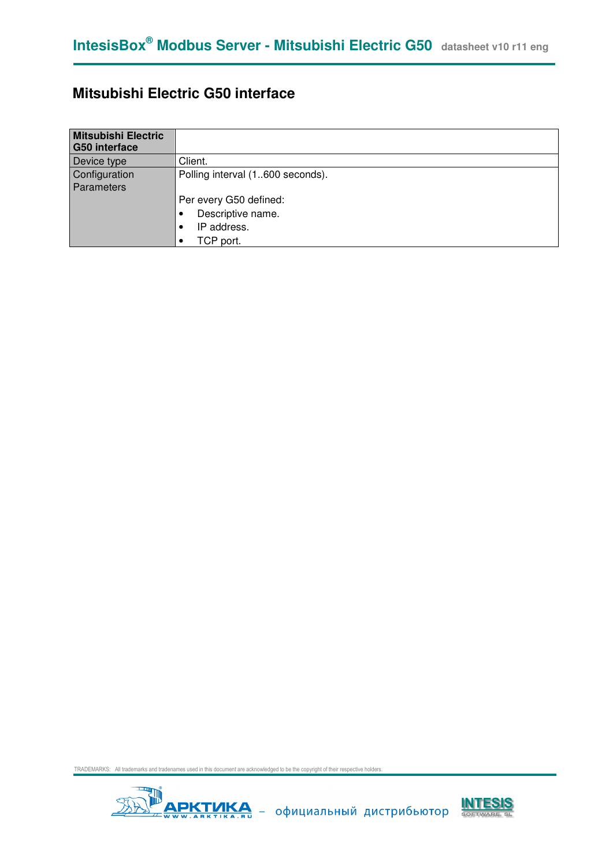# **Mitsubishi Electric G50 interface**

| <b>Mitsubishi Electric</b><br><b>G50 interface</b> |                                  |
|----------------------------------------------------|----------------------------------|
| Device type                                        | Client.                          |
| Configuration<br>Parameters                        | Polling interval (1600 seconds). |
|                                                    | Per every G50 defined:           |
|                                                    | Descriptive name.                |
|                                                    | IP address.                      |
|                                                    | TCP port.                        |



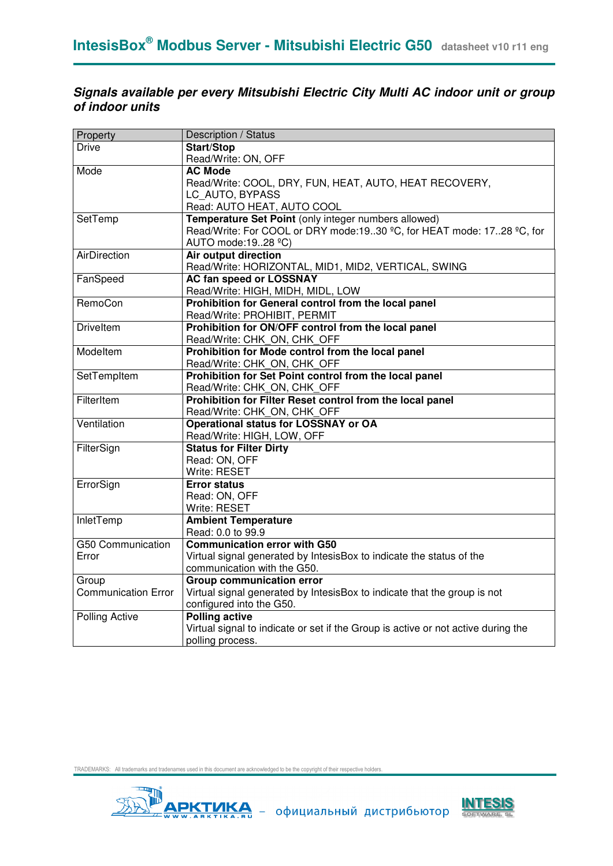### **Signals available per every Mitsubishi Electric City Multi AC indoor unit or group of indoor units**

| Property                   | Description / Status                                                              |
|----------------------------|-----------------------------------------------------------------------------------|
| <b>Drive</b>               | <b>Start/Stop</b>                                                                 |
|                            | Read/Write: ON, OFF                                                               |
| Mode                       | <b>AC Mode</b>                                                                    |
|                            | Read/Write: COOL, DRY, FUN, HEAT, AUTO, HEAT RECOVERY,                            |
|                            | LC AUTO, BYPASS                                                                   |
|                            | Read: AUTO HEAT, AUTO COOL                                                        |
| SetTemp                    | Temperature Set Point (only integer numbers allowed)                              |
|                            | Read/Write: For COOL or DRY mode:1930 °C, for HEAT mode: 1728 °C, for             |
|                            | AUTO mode: 1928 °C)                                                               |
| <b>AirDirection</b>        | Air output direction                                                              |
|                            | Read/Write: HORIZONTAL, MID1, MID2, VERTICAL, SWING                               |
| FanSpeed                   | <b>AC fan speed or LOSSNAY</b>                                                    |
|                            | Read/Write: HIGH, MIDH, MIDL, LOW                                                 |
| RemoCon                    | Prohibition for General control from the local panel                              |
|                            | Read/Write: PROHIBIT, PERMIT                                                      |
| <b>Driveltem</b>           | Prohibition for ON/OFF control from the local panel                               |
|                            | Read/Write: CHK_ON, CHK_OFF                                                       |
| Modeltem                   | Prohibition for Mode control from the local panel                                 |
|                            | Read/Write: CHK_ON, CHK_OFF                                                       |
| SetTempItem                | Prohibition for Set Point control from the local panel                            |
|                            | Read/Write: CHK_ON, CHK_OFF                                                       |
| FilterItem                 | Prohibition for Filter Reset control from the local panel                         |
|                            | Read/Write: CHK_ON, CHK_OFF                                                       |
| Ventilation                | <b>Operational status for LOSSNAY or OA</b>                                       |
|                            | Read/Write: HIGH, LOW, OFF                                                        |
| FilterSign                 | <b>Status for Filter Dirty</b>                                                    |
|                            | Read: ON, OFF                                                                     |
|                            | Write: RESET                                                                      |
| ErrorSign                  | <b>Error status</b>                                                               |
|                            | Read: ON, OFF                                                                     |
|                            | Write: RESET                                                                      |
| InletTemp                  | <b>Ambient Temperature</b>                                                        |
|                            | Read: 0.0 to 99.9                                                                 |
| G50 Communication          | <b>Communication error with G50</b>                                               |
| Error                      | Virtual signal generated by IntesisBox to indicate the status of the              |
|                            | communication with the G50.                                                       |
| Group                      | <b>Group communication error</b>                                                  |
| <b>Communication Error</b> | Virtual signal generated by IntesisBox to indicate that the group is not          |
|                            | configured into the G50.                                                          |
| <b>Polling Active</b>      | <b>Polling active</b>                                                             |
|                            | Virtual signal to indicate or set if the Group is active or not active during the |
|                            | polling process.                                                                  |



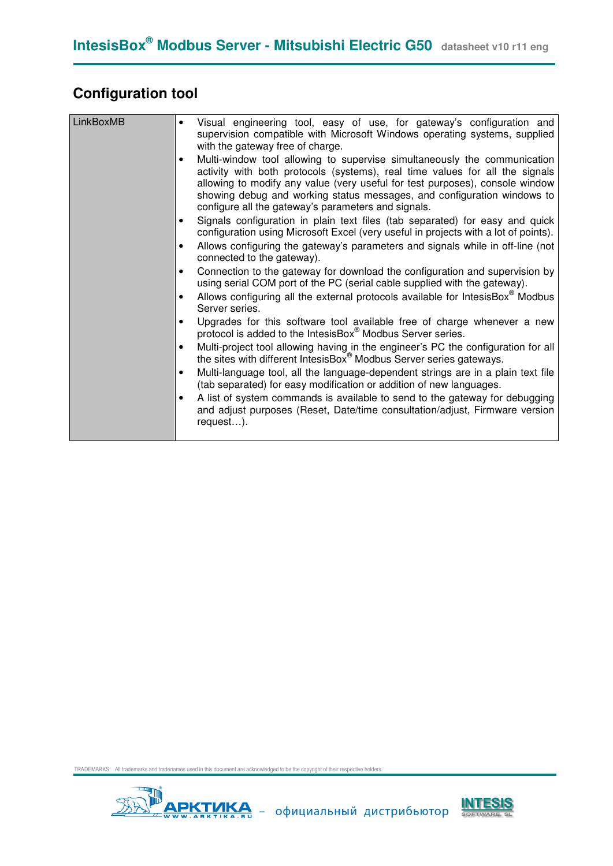# **Configuration tool**

| LinkBoxMB | Visual engineering tool, easy of use, for gateway's configuration and<br>$\bullet$<br>supervision compatible with Microsoft Windows operating systems, supplied<br>with the gateway free of charge.<br>Multi-window tool allowing to supervise simultaneously the communication<br>$\bullet$<br>activity with both protocols (systems), real time values for all the signals<br>allowing to modify any value (very useful for test purposes), console window<br>showing debug and working status messages, and configuration windows to<br>configure all the gateway's parameters and signals.<br>Signals configuration in plain text files (tab separated) for easy and quick<br>configuration using Microsoft Excel (very useful in projects with a lot of points).<br>Allows configuring the gateway's parameters and signals while in off-line (not<br>connected to the gateway).<br>Connection to the gateway for download the configuration and supervision by<br>using serial COM port of the PC (serial cable supplied with the gateway).<br>Allows configuring all the external protocols available for IntesisBox® Modbus<br>Server series.<br>Upgrades for this software tool available free of charge whenever a new<br>protocol is added to the IntesisBox® Modbus Server series. |
|-----------|------------------------------------------------------------------------------------------------------------------------------------------------------------------------------------------------------------------------------------------------------------------------------------------------------------------------------------------------------------------------------------------------------------------------------------------------------------------------------------------------------------------------------------------------------------------------------------------------------------------------------------------------------------------------------------------------------------------------------------------------------------------------------------------------------------------------------------------------------------------------------------------------------------------------------------------------------------------------------------------------------------------------------------------------------------------------------------------------------------------------------------------------------------------------------------------------------------------------------------------------------------------------------------------------|
|           | Multi-project tool allowing having in the engineer's PC the configuration for all<br>the sites with different IntesisBox <sup>®</sup> Modbus Server series gateways.<br>Multi-language tool, all the language-dependent strings are in a plain text file<br>$\bullet$<br>(tab separated) for easy modification or addition of new languages.<br>A list of system commands is available to send to the gateway for debugging<br>and adjust purposes (Reset, Date/time consultation/adjust, Firmware version<br>request).                                                                                                                                                                                                                                                                                                                                                                                                                                                                                                                                                                                                                                                                                                                                                                        |



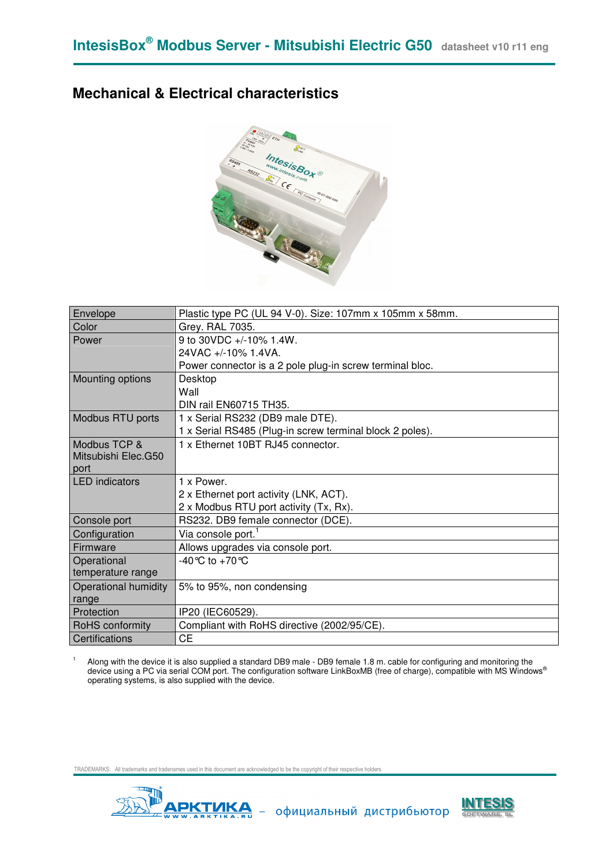## **Mechanical & Electrical characteristics**



| Envelope              | Plastic type PC (UL 94 V-0). Size: 107mm x 105mm x 58mm. |
|-----------------------|----------------------------------------------------------|
| Color                 | Grey. RAL 7035.                                          |
| Power                 | 9 to 30VDC +/-10% 1.4W.                                  |
|                       | 24VAC +/-10% 1.4VA.                                      |
|                       | Power connector is a 2 pole plug-in screw terminal bloc. |
| Mounting options      | Desktop                                                  |
|                       | Wall                                                     |
|                       | DIN rail EN60715 TH35.                                   |
| Modbus RTU ports      | 1 x Serial RS232 (DB9 male DTE).                         |
|                       | 1 x Serial RS485 (Plug-in screw terminal block 2 poles). |
| Modbus TCP &          | 1 x Ethernet 10BT RJ45 connector.                        |
| Mitsubishi Elec.G50   |                                                          |
| port                  |                                                          |
| <b>LED</b> indicators | 1 x Power.                                               |
|                       | 2 x Ethernet port activity (LNK, ACT).                   |
|                       | 2 x Modbus RTU port activity (Tx, Rx).                   |
| Console port          | RS232. DB9 female connector (DCE).                       |
| Configuration         | Via console port. <sup>1</sup>                           |
| Firmware              | Allows upgrades via console port.                        |
| Operational           | -40 °C to +70 °C                                         |
| temperature range     |                                                          |
| Operational humidity  | 5% to 95%, non condensing                                |
| range                 |                                                          |
| Protection            | IP20 (IEC60529).                                         |
| RoHS conformity       | Compliant with RoHS directive (2002/95/CE).              |
| Certifications        | СE                                                       |

1 Along with the device it is also supplied a standard DB9 male - DB9 female 1.8 m. cable for configuring and monitoring the device using a PC via serial COM port. The configuration software LinkBoxMB (free of charge), compatible with MS Windows<sup>®</sup> operating systems, is also supplied with the device.